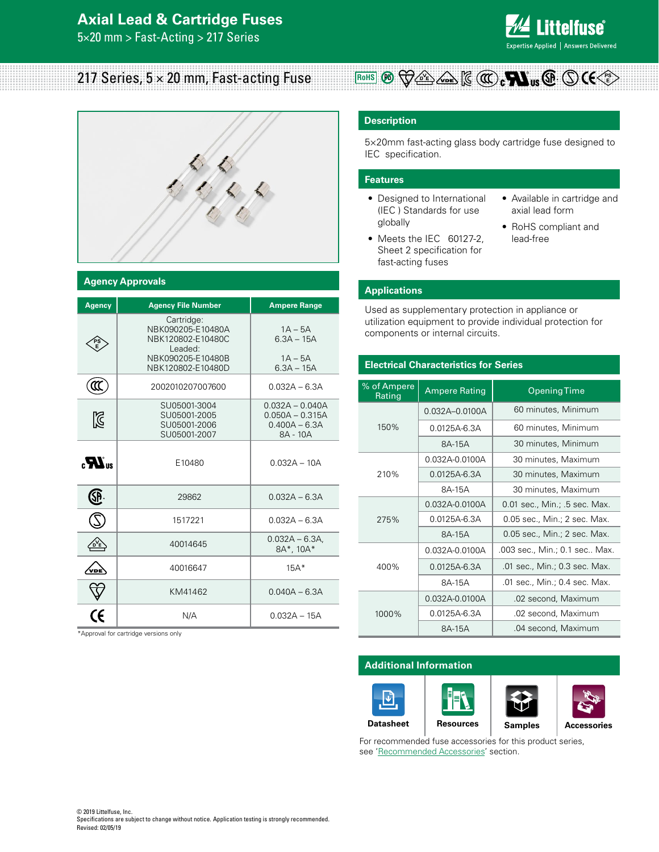## **Axial Lead & Cartridge Fuses**

5×20 mm > Fast-Acting > 217 Series



## 217 Series,  $5 \times 20$  mm, Fast-acting Fuse



#### **Agency Approvals**

| <b>Agency</b>                              | <b>Agency File Number</b>                                                                                 | <b>Ampere Range</b>                                                   |
|--------------------------------------------|-----------------------------------------------------------------------------------------------------------|-----------------------------------------------------------------------|
|                                            | Cartridge:<br>NBK090205-E10480A<br>NBK120802-E10480C<br>Leaded:<br>NBK090205-E10480B<br>NBK120802-E10480D | $1A - 5A$<br>$6.3A - 15A$<br>$1A - 5A$<br>$6.3A - 15A$                |
| π                                          | 2002010207007600                                                                                          | $0.032A - 6.3A$                                                       |
| Ñ                                          | SU05001-3004<br>SU05001-2005<br>SU05001-2006<br>SU05001-2007                                              | $0.032A - 0.040A$<br>$0.050A - 0.315A$<br>$0.400A - 6.3A$<br>8A - 10A |
| $_{\alpha}$ $\boldsymbol{M}$ <sub>us</sub> | E10480                                                                                                    | $0.032A - 10A$                                                        |
| SP                                         | 29862                                                                                                     | $0.032A - 6.3A$                                                       |
|                                            | 1517221                                                                                                   | $0.032A - 6.3A$                                                       |
|                                            | 40014645                                                                                                  | $0.032A - 6.3A$<br>8A*, 10A*                                          |
| VDE                                        | 40016647                                                                                                  | $15A*$                                                                |
|                                            | KM41462                                                                                                   | $0.040A - 6.3A$                                                       |
|                                            | N/A                                                                                                       | $0.032A - 15A$                                                        |

\*Approval for cartridge versions only

### **Description**

5×20mm fast-acting glass body cartridge fuse designed to IEC specification.

**ROHS**  $\mathbb{E} \left[ \sum_{k} \left( \sum_{k} \sum_{k} \right) \right]$ 

#### **Features**

- Designed to International (IEC ) Standards for use globally
- Meets the IEC 60127-2, Sheet 2 specification for fast-acting fuses
- Available in cartridge and axial lead form
- RoHS compliant and lead-free

#### **Applications**

Used as supplementary protection in appliance or utilization equipment to provide individual protection for components or internal circuits.

### **Electrical Characteristics for Series**

| % of Ampere<br>Rating | <b>Ampere Rating</b> | <b>Opening Time</b>           |  |  |  |  |
|-----------------------|----------------------|-------------------------------|--|--|--|--|
|                       | 0.032A-0.0100A       | 60 minutes, Minimum           |  |  |  |  |
| 150%                  | 0.0125A-6.3A         | 60 minutes, Minimum           |  |  |  |  |
|                       | 8A-15A               | 30 minutes, Minimum           |  |  |  |  |
|                       | 0.032A-0.0100A       | 30 minutes, Maximum           |  |  |  |  |
| 210%                  | $0.0125A - 6.3A$     | 30 minutes, Maximum           |  |  |  |  |
|                       | 8A-15A               | 30 minutes, Maximum           |  |  |  |  |
|                       | 0.032A-0.0100A       | 0.01 sec., Min.; .5 sec. Max. |  |  |  |  |
| 275%                  | 0.0125A-6.3A         | 0.05 sec., Min.; 2 sec. Max.  |  |  |  |  |
|                       | 8A-15A               | 0.05 sec., Min.; 2 sec. Max.  |  |  |  |  |
|                       | 0.032A-0.0100A       | .003 sec., Min.; 0.1 sec Max. |  |  |  |  |
| 400%                  | $0.0125A - 6.3A$     | .01 sec., Min.; 0.3 sec. Max. |  |  |  |  |
|                       | 8A-15A               | .01 sec., Min.; 0.4 sec. Max. |  |  |  |  |
|                       | 0.032A-0.0100A       | .02 second, Maximum           |  |  |  |  |
| 1000%                 | 0.0125A-6.3A         | .02 second, Maximum           |  |  |  |  |
|                       | 8A-15A               | .04 second, Maximum           |  |  |  |  |

#### **Additional Information**



For recommended fuse accessories for this product series, see 'Recommended Accessories' section.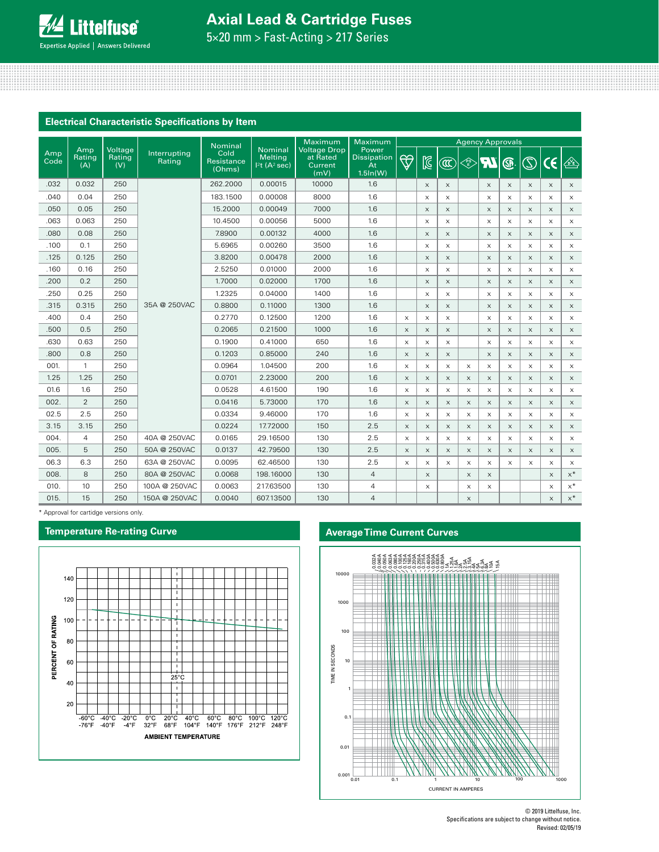# **Axial Lead & Cartridge Fuses**

5×20 mm > Fast-Acting > 217 Series

## **Electrical Characteristic Specifications by Item**

|             |                      |                          |                        | <b>Nominal</b>               |                                                      | Maximum                                            | Maximum                                       | <b>Agency Approvals</b>   |                       |                           |                                                                                             |                           |                           |                           |                       |                           |
|-------------|----------------------|--------------------------|------------------------|------------------------------|------------------------------------------------------|----------------------------------------------------|-----------------------------------------------|---------------------------|-----------------------|---------------------------|---------------------------------------------------------------------------------------------|---------------------------|---------------------------|---------------------------|-----------------------|---------------------------|
| Amp<br>Code | Amp<br>Rating<br>(A) | Voltage<br>Rating<br>(V) | Interrupting<br>Rating | Cold<br>Resistance<br>(Ohms) | <b>Nominal</b><br>Melting<br>$ 2t(A^2 \text{ sec}) $ | <b>Voltage Drop</b><br>at Rated<br>Current<br>(mV) | Power<br><b>Dissipation</b><br>At<br>1.5ln(W) | $\bigtriangledown$        | $\boxtimes$           | $\circledR$               | $\left\langle \begin{matrix} \mathsf{P} \mathsf{S} \ \mathsf{E} \end{matrix} \right\rangle$ | <b>IR</b>                 | ®                         | $\circledS$               | $\epsilon$            | $\mathbb{E}$              |
| .032        | 0.032                | 250                      |                        | 262.2000                     | 0.00015                                              | 10000                                              | 1.6                                           |                           | $\times$              | $\times$                  |                                                                                             | $\boldsymbol{\mathsf{X}}$ | $\times$                  | $\boldsymbol{\mathsf{X}}$ | $\times$              | $\times$                  |
| .040        | 0.04                 | 250                      |                        | 183.1500                     | 0.00008                                              | 8000                                               | 1.6                                           |                           | $\times$              | $\boldsymbol{\mathsf{X}}$ |                                                                                             | $\times$                  | $\times$                  | X                         | $\times$              | $\times$                  |
| .050        | 0.05                 | 250                      |                        | 15,2000                      | 0.00049                                              | 7000                                               | 1.6                                           |                           | $\times$              | $\mathsf X$               |                                                                                             | $\times$                  | $\times$                  | $\boldsymbol{\mathsf{X}}$ | $\times$              | $\times$                  |
| .063        | 0.063                | 250                      |                        | 10.4500                      | 0.00056                                              | 5000                                               | 1.6                                           |                           | $\times$              | $\times$                  |                                                                                             | $\times$                  | X                         | $\times$                  | $\times$              | $\times$                  |
| .080        | 0.08                 | 250                      |                        | 7.8900                       | 0.00132                                              | 4000                                               | 1.6                                           |                           | $\boldsymbol{\times}$ | X                         |                                                                                             | $\times$                  | $\boldsymbol{\times}$     | X                         | $\boldsymbol{\times}$ | X                         |
| .100        | 0.1                  | 250                      |                        | 5.6965                       | 0.00260                                              | 3500                                               | 1.6                                           |                           | $\times$              | $\times$                  |                                                                                             | $\times$                  | X                         | $\times$                  | $\times$              | $\times$                  |
| .125        | 0.125                | 250                      |                        | 3.8200                       | 0.00478                                              | 2000                                               | 1.6                                           |                           | $\boldsymbol{\times}$ | $\boldsymbol{\mathsf{X}}$ |                                                                                             | $\times$                  | $\boldsymbol{\times}$     | $\boldsymbol{\mathsf{X}}$ | $\times$              | $\times$                  |
| .160        | 0.16                 | 250                      |                        | 2.5250                       | 0.01000                                              | 2000                                               | 1.6                                           |                           | $\times$              | X                         |                                                                                             | $\mathsf X$               | $\boldsymbol{\mathsf{X}}$ | $\boldsymbol{\mathsf{X}}$ | $\times$              | $\boldsymbol{\mathsf{X}}$ |
| .200        | 0.2                  | 250                      |                        | 1.7000                       | 0.02000                                              | 1700                                               | 1.6                                           |                           | $\times$              | $\times$                  |                                                                                             | $\times$                  | $\times$                  | $\times$                  | $\times$              | $\times$                  |
| .250        | 0.25                 | 250                      |                        | 1.2325                       | 0.04000                                              | 1400                                               | 1.6                                           |                           | $\times$              | X                         |                                                                                             | X                         | X                         | X                         | $\times$              | $\times$                  |
| .315        | 0.315                | 250                      | 35A @ 250VAC           | 0.8800                       | 0.11000                                              | 1300                                               | 1.6                                           |                           | $\times$              | $\boldsymbol{\times}$     |                                                                                             | $\mathsf X$               | X                         | $\boldsymbol{\mathsf{X}}$ | $\times$              | $\times$                  |
| .400        | 0.4                  | 250                      |                        | 0.2770                       | 0.12500                                              | 1200                                               | 1.6                                           | $\times$                  | $\times$              | $\times$                  |                                                                                             | $\times$                  | X                         | $\times$                  | $\times$              | $\times$                  |
| .500        | 0.5                  | 250                      |                        | 0.2065                       | 0.21500                                              | 1000                                               | 1.6                                           | $\boldsymbol{\mathsf{X}}$ | $\times$              | $\boldsymbol{\times}$     |                                                                                             | $\boldsymbol{\times}$     | $\boldsymbol{\times}$     | $\boldsymbol{\mathsf{X}}$ | $\times$              | $\times$                  |
| .630        | 0.63                 | 250                      |                        | 0.1900                       | 0.41000                                              | 650                                                | 1.6                                           | $\times$                  | $\times$              | $\times$                  |                                                                                             | $\times$                  | X                         | $\times$                  | $\times$              | $\times$                  |
| .800        | 0.8                  | 250                      |                        | 0.1203                       | 0.85000                                              | 240                                                | 1.6                                           | $\boldsymbol{\mathsf{X}}$ | $\times$              | X                         |                                                                                             | $\boldsymbol{\times}$     | $\boldsymbol{\times}$     | X                         | $\times$              | $\times$                  |
| 001.        | $\mathbf{1}$         | 250                      |                        | 0.0964                       | 1.04500                                              | 200                                                | 1.6                                           | X                         | $\times$              | $\mathsf X$               | X                                                                                           | X                         | X                         | X                         | $\times$              | $\times$                  |
| 1.25        | 1.25                 | 250                      |                        | 0.0701                       | 2.23000                                              | 200                                                | 1.6                                           | $\times$                  | $\times$              | X                         | $\times$                                                                                    | $\times$                  | $\times$                  | $\times$                  | $\times$              | $\times$                  |
| 01.6        | 1.6                  | 250                      |                        | 0.0528                       | 4.61500                                              | 190                                                | 1.6                                           | $\boldsymbol{\mathsf{X}}$ | $\times$              | X                         | $\times$                                                                                    | $\times$                  | X                         | X                         | $\times$              | X                         |
| 002.        | 2                    | 250                      |                        | 0.0416                       | 5.73000                                              | 170                                                | 1.6                                           | $\boldsymbol{\mathsf{X}}$ | $\times$              | $\boldsymbol{\times}$     | $\boldsymbol{\times}$                                                                       | $\boldsymbol{\times}$     | $\boldsymbol{\mathsf{X}}$ | $\boldsymbol{\mathsf{X}}$ | $\times$              | $\times$                  |
| 02.5        | 2.5                  | 250                      |                        | 0.0334                       | 9.46000                                              | 170                                                | 1.6                                           | $\boldsymbol{\mathsf{X}}$ | X                     | X                         | $\times$                                                                                    | X                         | X                         | X                         | $\times$              | $\times$                  |
| 3.15        | 3.15                 | 250                      |                        | 0.0224                       | 17.72000                                             | 150                                                | 2.5                                           | $\boldsymbol{\mathsf{X}}$ | $\boldsymbol{\times}$ | X                         | $\boldsymbol{\times}$                                                                       | $\boldsymbol{\times}$     | $\boldsymbol{\mathsf{X}}$ | $\boldsymbol{\mathsf{X}}$ | $\times$              | $\boldsymbol{\mathsf{X}}$ |
| 004.        | $\overline{4}$       | 250                      | 40A @ 250VAC           | 0.0165                       | 29.16500                                             | 130                                                | 2.5                                           | $\times$                  | $\times$              | X                         | $\times$                                                                                    | X                         | X                         | $\times$                  | $\times$              | $\times$                  |
| 005.        | 5                    | 250                      | 50A @ 250VAC           | 0.0137                       | 42.79500                                             | 130                                                | 2.5                                           | $\boldsymbol{\mathsf{X}}$ | $\times$              | X                         | $\times$                                                                                    | $\boldsymbol{\times}$     | $\boldsymbol{\mathsf{X}}$ | $\boldsymbol{\times}$     | $\times$              | $\times$                  |
| 06.3        | 6.3                  | 250                      | 63A @ 250VAC           | 0.0095                       | 62.46500                                             | 130                                                | 2.5                                           | $\boldsymbol{\mathsf{X}}$ | $\mathsf X$           | $\boldsymbol{\mathsf{X}}$ | $\mathsf X$                                                                                 | X                         | X                         | X                         | $\times$              | $\mathsf X$               |
| 008.        | 8                    | 250                      | 80A @ 250VAC           | 0.0068                       | 198.16000                                            | 130                                                | 4                                             |                           | $\times$              |                           | $\times$                                                                                    | $\times$                  |                           |                           | $\boldsymbol{\times}$ | $\times^*$                |
| 010.        | 10                   | 250                      | 100A @ 250VAC          | 0.0063                       | 217.63500                                            | 130                                                | 4                                             |                           | X                     |                           | $\times$                                                                                    | X                         |                           |                           | X                     | $x^*$                     |
| 015.        | 15                   | 250                      | 150A @ 250VAC          | 0.0040                       | 607.13500                                            | 130                                                | $\overline{4}$                                |                           |                       |                           | $\times$                                                                                    |                           |                           |                           | $\times$              | $\times^*$                |

\* Approval for cartidge versions only.

## **Temperature Re-rating Curve**



## **Average Time Current Curves**



<sup>© 2019</sup> Littelfuse, Inc. Specifications are subject to change without notice. Revised: 02/05/19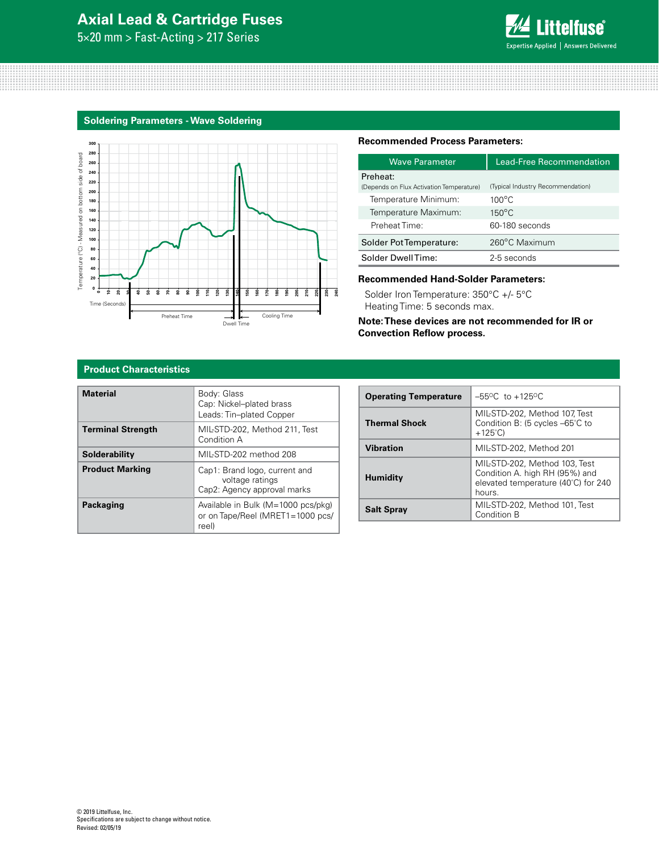## **Axial Lead & Cartridge Fuses**

5×20 mm > Fast-Acting > 217 Series



### **Soldering Parameters - Wave Soldering**



#### **Recommended Process Parameters:**

| <b>Wave Parameter</b>                                            | Lead-Free Recommendation                             |
|------------------------------------------------------------------|------------------------------------------------------|
| Preheat:                                                         |                                                      |
| (Depends on Flux Activation Temperature)<br>Temperature Minimum: | (Typical Industry Recommendation)<br>$100^{\circ}$ C |
| Temperature Maximum:                                             | $150^{\circ}$ C                                      |
| Preheat Time:                                                    | 60-180 seconds                                       |
| Solder Pot Temperature:                                          | 260°C Maximum                                        |
| Solder DwellTime:                                                | 2-5 seconds                                          |
|                                                                  |                                                      |

#### **Recommended Hand-Solder Parameters:**

Solder Iron Temperature: 350°C +/- 5°C Heating Time: 5 seconds max.

**Note: These devices are not recommended for IR or Convection Reflow process.**

#### **Product Characteristics**

| <b>Material</b>          | Body: Glass<br>Cap: Nickel-plated brass<br>Leads: Tin-plated Copper             |
|--------------------------|---------------------------------------------------------------------------------|
| <b>Terminal Strength</b> | MIL-STD-202. Method 211. Test<br>Condition A                                    |
| Solderability            | MIL-STD-202 method 208                                                          |
| <b>Product Marking</b>   | Cap1: Brand logo, current and<br>voltage ratings<br>Cap2: Agency approval marks |
| <b>Packaging</b>         | Available in Bulk (M=1000 pcs/pkg)<br>or on Tape/Reel (MRET1=1000 pcs/<br>reel) |

| <b>Operating Temperature</b> | $-55^{\circ}$ C to $+125^{\circ}$ C                                                                              |
|------------------------------|------------------------------------------------------------------------------------------------------------------|
| <b>Thermal Shock</b>         | MIL-STD-202, Method 107, Test<br>Condition B: (5 cycles -65°C to<br>$+125^{\circ}$ C)                            |
| <b>Vibration</b>             | MIL-STD-202, Method 201                                                                                          |
| <b>Humidity</b>              | MIL-STD-202, Method 103, Test<br>Condition A. high RH (95%) and<br>elevated temperature (40°C) for 240<br>hours. |
| <b>Salt Spray</b>            | MIL-STD-202, Method 101, Test<br>Condition B                                                                     |